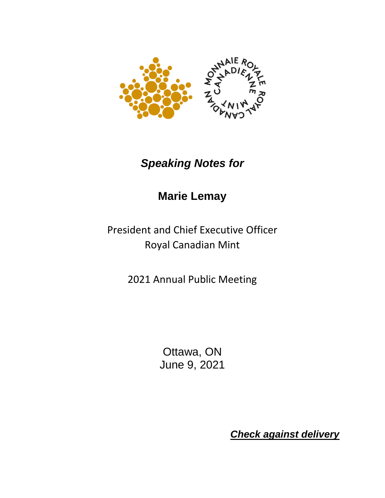

## *Speaking Notes for*

## **Marie Lemay**

President and Chief Executive Officer Royal Canadian Mint

2021 Annual Public Meeting

Ottawa, ON June 9, 2021

*Check against delivery*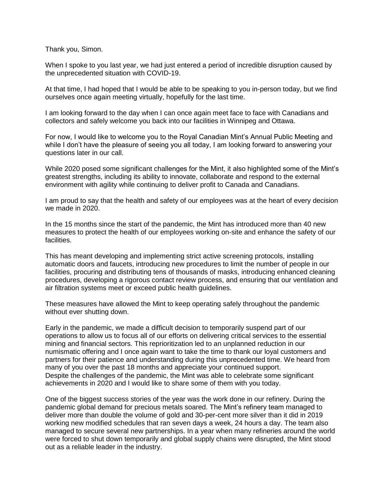Thank you, Simon.

When I spoke to you last year, we had just entered a period of incredible disruption caused by the unprecedented situation with COVID-19.

At that time, I had hoped that I would be able to be speaking to you in-person today, but we find ourselves once again meeting virtually, hopefully for the last time.

I am looking forward to the day when I can once again meet face to face with Canadians and collectors and safely welcome you back into our facilities in Winnipeg and Ottawa.

For now, I would like to welcome you to the Royal Canadian Mint's Annual Public Meeting and while I don't have the pleasure of seeing you all today, I am looking forward to answering your questions later in our call.

While 2020 posed some significant challenges for the Mint, it also highlighted some of the Mint's greatest strengths, including its ability to innovate, collaborate and respond to the external environment with agility while continuing to deliver profit to Canada and Canadians.

I am proud to say that the health and safety of our employees was at the heart of every decision we made in 2020.

In the 15 months since the start of the pandemic, the Mint has introduced more than 40 new measures to protect the health of our employees working on-site and enhance the safety of our facilities.

This has meant developing and implementing strict active screening protocols, installing automatic doors and faucets, introducing new procedures to limit the number of people in our facilities, procuring and distributing tens of thousands of masks, introducing enhanced cleaning procedures, developing a rigorous contact review process, and ensuring that our ventilation and air filtration systems meet or exceed public health guidelines.

These measures have allowed the Mint to keep operating safely throughout the pandemic without ever shutting down.

Early in the pandemic, we made a difficult decision to temporarily suspend part of our operations to allow us to focus all of our efforts on delivering critical services to the essential mining and financial sectors. This reprioritization led to an unplanned reduction in our numismatic offering and I once again want to take the time to thank our loyal customers and partners for their patience and understanding during this unprecedented time. We heard from many of you over the past 18 months and appreciate your continued support. Despite the challenges of the pandemic, the Mint was able to celebrate some significant achievements in 2020 and I would like to share some of them with you today.

One of the biggest success stories of the year was the work done in our refinery. During the pandemic global demand for precious metals soared. The Mint's refinery team managed to deliver more than double the volume of gold and 30-per-cent more silver than it did in 2019 working new modified schedules that ran seven days a week, 24 hours a day. The team also managed to secure several new partnerships. In a year when many refineries around the world were forced to shut down temporarily and global supply chains were disrupted, the Mint stood out as a reliable leader in the industry.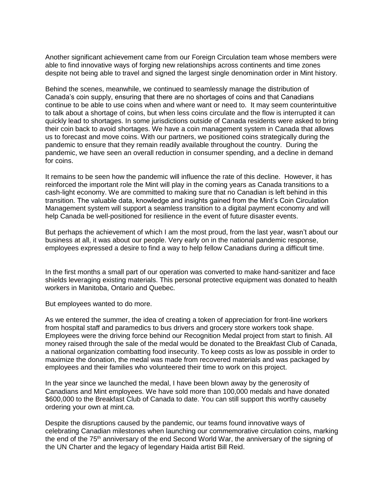Another significant achievement came from our Foreign Circulation team whose members were able to find innovative ways of forging new relationships across continents and time zones despite not being able to travel and signed the largest single denomination order in Mint history.

Behind the scenes, meanwhile, we continued to seamlessly manage the distribution of Canada's coin supply, ensuring that there are no shortages of coins and that Canadians continue to be able to use coins when and where want or need to. It may seem counterintuitive to talk about a shortage of coins, but when less coins circulate and the flow is interrupted it can quickly lead to shortages. In some jurisdictions outside of Canada residents were asked to bring their coin back to avoid shortages. We have a coin management system in Canada that allows us to forecast and move coins. With our partners, we positioned coins strategically during the pandemic to ensure that they remain readily available throughout the country. During the pandemic, we have seen an overall reduction in consumer spending, and a decline in demand for coins.

It remains to be seen how the pandemic will influence the rate of this decline. However, it has reinforced the important role the Mint will play in the coming years as Canada transitions to a cash-light economy. We are committed to making sure that no Canadian is left behind in this transition. The valuable data, knowledge and insights gained from the Mint's Coin Circulation Management system will support a seamless transition to a digital payment economy and will help Canada be well-positioned for resilience in the event of future disaster events.

But perhaps the achievement of which I am the most proud, from the last year, wasn't about our business at all, it was about our people. Very early on in the national pandemic response, employees expressed a desire to find a way to help fellow Canadians during a difficult time.

In the first months a small part of our operation was converted to make hand-sanitizer and face shields leveraging existing materials. This personal protective equipment was donated to health workers in Manitoba, Ontario and Quebec.

But employees wanted to do more.

As we entered the summer, the idea of creating a token of appreciation for front-line workers from hospital staff and paramedics to bus drivers and grocery store workers took shape. Employees were the driving force behind our Recognition Medal project from start to finish. All money raised through the sale of the medal would be donated to the Breakfast Club of Canada, a national organization combatting food insecurity. To keep costs as low as possible in order to maximize the donation, the medal was made from recovered materials and was packaged by employees and their families who volunteered their time to work on this project.

In the year since we launched the medal, I have been blown away by the generosity of Canadians and Mint employees. We have sold more than 100,000 medals and have donated \$600,000 to the Breakfast Club of Canada to date. You can still support this worthy causeby ordering your own at mint.ca.

Despite the disruptions caused by the pandemic, our teams found innovative ways of celebrating Canadian milestones when launching our commemorative circulation coins, marking the end of the 75<sup>th</sup> anniversary of the end Second World War, the anniversary of the signing of the UN Charter and the legacy of legendary Haida artist Bill Reid.